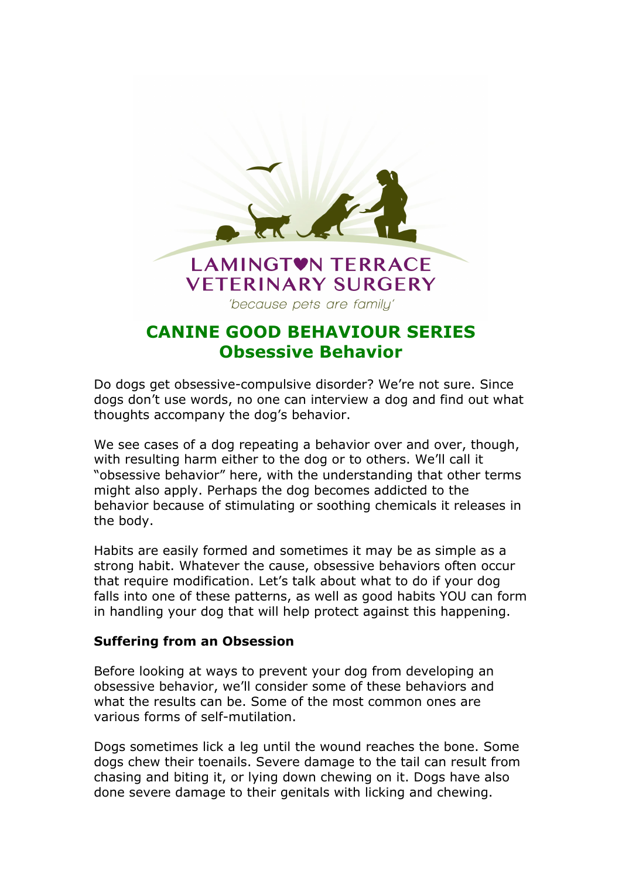

# **CANINE GOOD BEHAVIOUR SERIES Obsessive Behavior**

Do dogs get obsessive-compulsive disorder? We're not sure. Since dogs don't use words, no one can interview a dog and find out what thoughts accompany the dog's behavior.

We see cases of a dog repeating a behavior over and over, though, with resulting harm either to the dog or to others. We'll call it "obsessive behavior" here, with the understanding that other terms might also apply. Perhaps the dog becomes addicted to the behavior because of stimulating or soothing chemicals it releases in the body.

Habits are easily formed and sometimes it may be as simple as a strong habit. Whatever the cause, obsessive behaviors often occur that require modification. Let's talk about what to do if your dog falls into one of these patterns, as well as good habits YOU can form in handling your dog that will help protect against this happening.

### **Suffering from an Obsession**

Before looking at ways to prevent your dog from developing an obsessive behavior, we'll consider some of these behaviors and what the results can be. Some of the most common ones are various forms of self-mutilation.

Dogs sometimes lick a leg until the wound reaches the bone. Some dogs chew their toenails. Severe damage to the tail can result from chasing and biting it, or lying down chewing on it. Dogs have also done severe damage to their genitals with licking and chewing.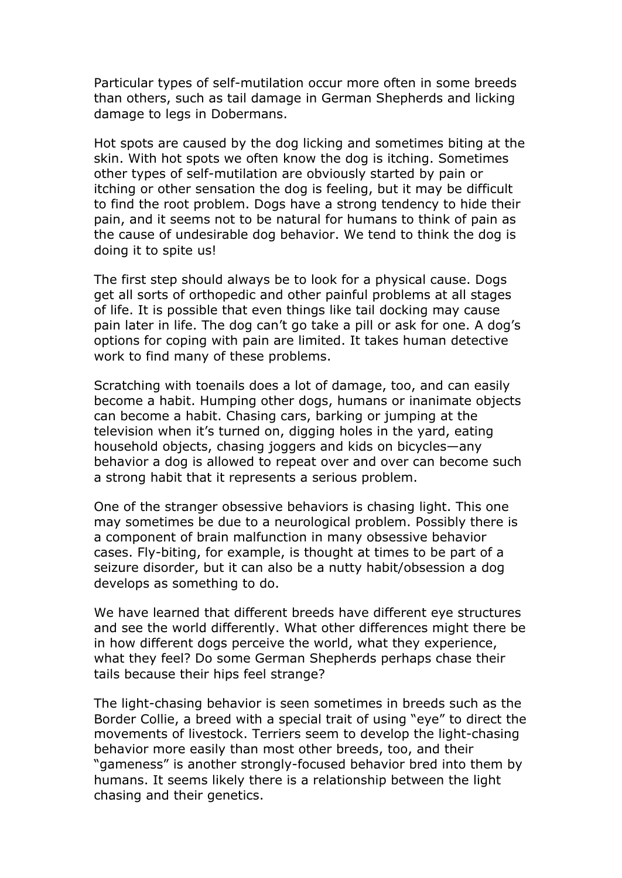Particular types of self-mutilation occur more often in some breeds than others, such as tail damage in German Shepherds and licking damage to legs in Dobermans.

Hot spots are caused by the dog licking and sometimes biting at the skin. With hot spots we often know the dog is itching. Sometimes other types of self-mutilation are obviously started by pain or itching or other sensation the dog is feeling, but it may be difficult to find the root problem. Dogs have a strong tendency to hide their pain, and it seems not to be natural for humans to think of pain as the cause of undesirable dog behavior. We tend to think the dog is doing it to spite us!

The first step should always be to look for a physical cause. Dogs get all sorts of orthopedic and other painful problems at all stages of life. It is possible that even things like tail docking may cause pain later in life. The dog can't go take a pill or ask for one. A dog's options for coping with pain are limited. It takes human detective work to find many of these problems.

Scratching with toenails does a lot of damage, too, and can easily become a habit. Humping other dogs, humans or inanimate objects can become a habit. Chasing cars, barking or jumping at the television when it's turned on, digging holes in the yard, eating household objects, chasing joggers and kids on bicycles—any behavior a dog is allowed to repeat over and over can become such a strong habit that it represents a serious problem.

One of the stranger obsessive behaviors is chasing light. This one may sometimes be due to a neurological problem. Possibly there is a component of brain malfunction in many obsessive behavior cases. Fly-biting, for example, is thought at times to be part of a seizure disorder, but it can also be a nutty habit/obsession a dog develops as something to do.

We have learned that different breeds have different eye structures and see the world differently. What other differences might there be in how different dogs perceive the world, what they experience, what they feel? Do some German Shepherds perhaps chase their tails because their hips feel strange?

The light-chasing behavior is seen sometimes in breeds such as the Border Collie, a breed with a special trait of using "eye" to direct the movements of livestock. Terriers seem to develop the light-chasing behavior more easily than most other breeds, too, and their "gameness" is another strongly-focused behavior bred into them by humans. It seems likely there is a relationship between the light chasing and their genetics.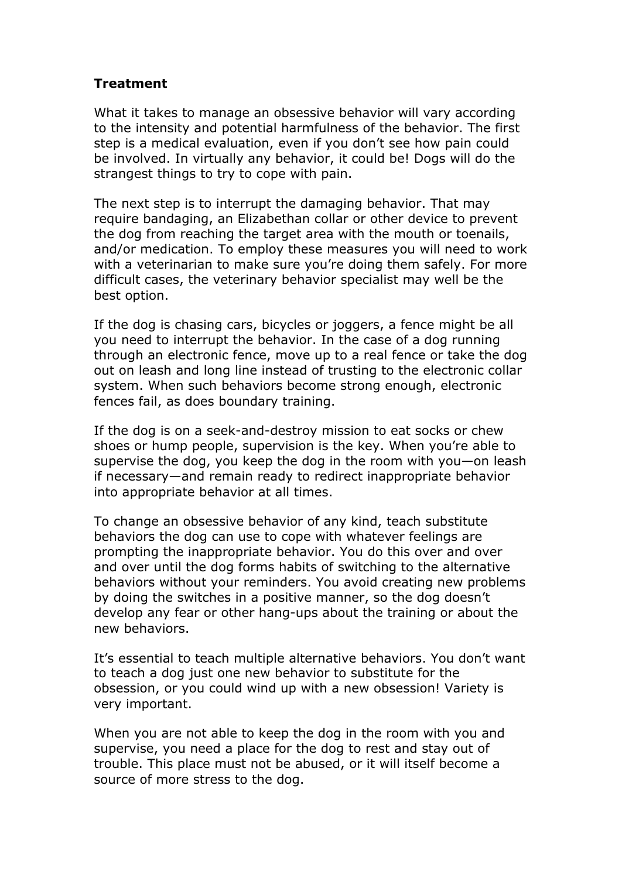## **Treatment**

What it takes to manage an obsessive behavior will vary according to the intensity and potential harmfulness of the behavior. The first step is a medical evaluation, even if you don't see how pain could be involved. In virtually any behavior, it could be! Dogs will do the strangest things to try to cope with pain.

The next step is to interrupt the damaging behavior. That may require bandaging, an Elizabethan collar or other device to prevent the dog from reaching the target area with the mouth or toenails, and/or medication. To employ these measures you will need to work with a veterinarian to make sure you're doing them safely. For more difficult cases, the veterinary behavior specialist may well be the best option.

If the dog is chasing cars, bicycles or joggers, a fence might be all you need to interrupt the behavior. In the case of a dog running through an electronic fence, move up to a real fence or take the dog out on leash and long line instead of trusting to the electronic collar system. When such behaviors become strong enough, electronic fences fail, as does boundary training.

If the dog is on a seek-and-destroy mission to eat socks or chew shoes or hump people, supervision is the key. When you're able to supervise the dog, you keep the dog in the room with you—on leash if necessary—and remain ready to redirect inappropriate behavior into appropriate behavior at all times.

To change an obsessive behavior of any kind, teach substitute behaviors the dog can use to cope with whatever feelings are prompting the inappropriate behavior. You do this over and over and over until the dog forms habits of switching to the alternative behaviors without your reminders. You avoid creating new problems by doing the switches in a positive manner, so the dog doesn't develop any fear or other hang-ups about the training or about the new behaviors.

It's essential to teach multiple alternative behaviors. You don't want to teach a dog just one new behavior to substitute for the obsession, or you could wind up with a new obsession! Variety is very important.

When you are not able to keep the dog in the room with you and supervise, you need a place for the dog to rest and stay out of trouble. This place must not be abused, or it will itself become a source of more stress to the dog.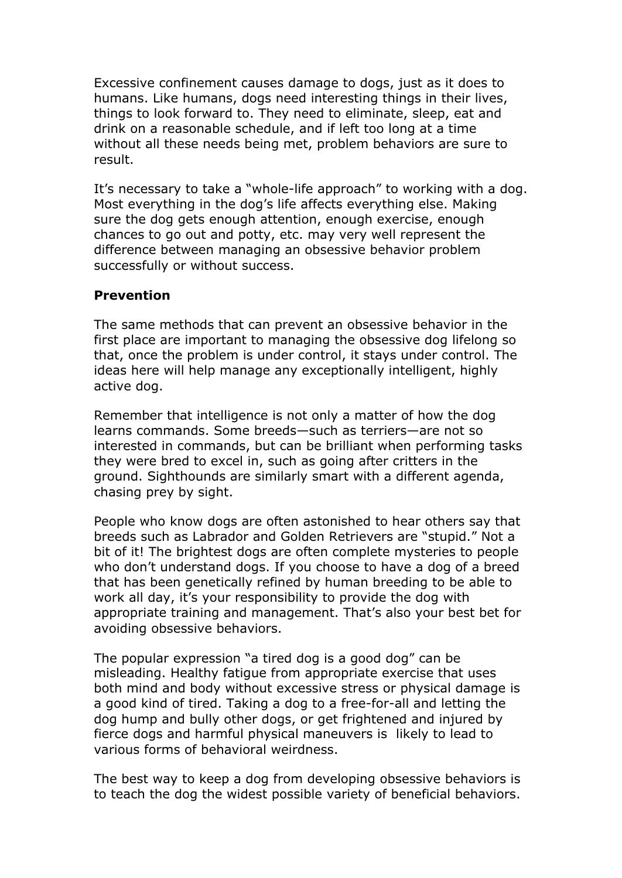Excessive confinement causes damage to dogs, just as it does to humans. Like humans, dogs need interesting things in their lives, things to look forward to. They need to eliminate, sleep, eat and drink on a reasonable schedule, and if left too long at a time without all these needs being met, problem behaviors are sure to result.

It's necessary to take a "whole-life approach" to working with a dog. Most everything in the dog's life affects everything else. Making sure the dog gets enough attention, enough exercise, enough chances to go out and potty, etc. may very well represent the difference between managing an obsessive behavior problem successfully or without success.

### **Prevention**

The same methods that can prevent an obsessive behavior in the first place are important to managing the obsessive dog lifelong so that, once the problem is under control, it stays under control. The ideas here will help manage any exceptionally intelligent, highly active dog.

Remember that intelligence is not only a matter of how the dog learns commands. Some breeds—such as terriers—are not so interested in commands, but can be brilliant when performing tasks they were bred to excel in, such as going after critters in the ground. Sighthounds are similarly smart with a different agenda, chasing prey by sight.

People who know dogs are often astonished to hear others say that breeds such as Labrador and Golden Retrievers are "stupid." Not a bit of it! The brightest dogs are often complete mysteries to people who don't understand dogs. If you choose to have a dog of a breed that has been genetically refined by human breeding to be able to work all day, it's your responsibility to provide the dog with appropriate training and management. That's also your best bet for avoiding obsessive behaviors.

The popular expression "a tired dog is a good dog" can be misleading. Healthy fatigue from appropriate exercise that uses both mind and body without excessive stress or physical damage is a good kind of tired. Taking a dog to a free-for-all and letting the dog hump and bully other dogs, or get frightened and injured by fierce dogs and harmful physical maneuvers is likely to lead to various forms of behavioral weirdness.

The best way to keep a dog from developing obsessive behaviors is to teach the dog the widest possible variety of beneficial behaviors.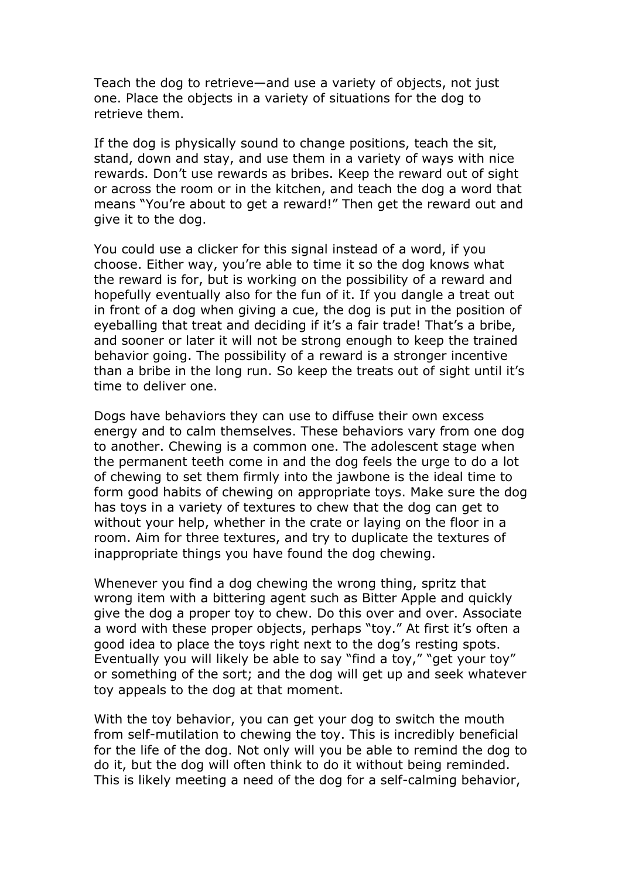Teach the dog to retrieve—and use a variety of objects, not just one. Place the objects in a variety of situations for the dog to retrieve them.

If the dog is physically sound to change positions, teach the sit, stand, down and stay, and use them in a variety of ways with nice rewards. Don't use rewards as bribes. Keep the reward out of sight or across the room or in the kitchen, and teach the dog a word that means "You're about to get a reward!" Then get the reward out and give it to the dog.

You could use a clicker for this signal instead of a word, if you choose. Either way, you're able to time it so the dog knows what the reward is for, but is working on the possibility of a reward and hopefully eventually also for the fun of it. If you dangle a treat out in front of a dog when giving a cue, the dog is put in the position of eyeballing that treat and deciding if it's a fair trade! That's a bribe, and sooner or later it will not be strong enough to keep the trained behavior going. The possibility of a reward is a stronger incentive than a bribe in the long run. So keep the treats out of sight until it's time to deliver one.

Dogs have behaviors they can use to diffuse their own excess energy and to calm themselves. These behaviors vary from one dog to another. Chewing is a common one. The adolescent stage when the permanent teeth come in and the dog feels the urge to do a lot of chewing to set them firmly into the jawbone is the ideal time to form good habits of chewing on appropriate toys. Make sure the dog has toys in a variety of textures to chew that the dog can get to without your help, whether in the crate or laying on the floor in a room. Aim for three textures, and try to duplicate the textures of inappropriate things you have found the dog chewing.

Whenever you find a dog chewing the wrong thing, spritz that wrong item with a bittering agent such as Bitter Apple and quickly give the dog a proper toy to chew. Do this over and over. Associate a word with these proper objects, perhaps "toy." At first it's often a good idea to place the toys right next to the dog's resting spots. Eventually you will likely be able to say "find a toy," "get your toy" or something of the sort; and the dog will get up and seek whatever toy appeals to the dog at that moment.

With the toy behavior, you can get your dog to switch the mouth from self-mutilation to chewing the toy. This is incredibly beneficial for the life of the dog. Not only will you be able to remind the dog to do it, but the dog will often think to do it without being reminded. This is likely meeting a need of the dog for a self-calming behavior,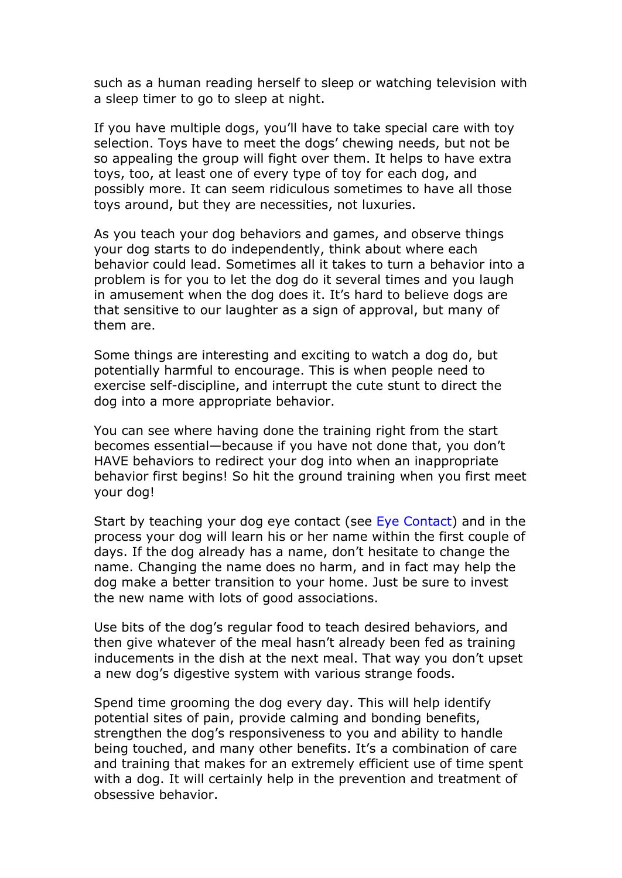such as a human reading herself to sleep or watching television with a sleep timer to go to sleep at night.

If you have multiple dogs, you'll have to take special care with toy selection. Toys have to meet the dogs' chewing needs, but not be so appealing the group will fight over them. It helps to have extra toys, too, at least one of every type of toy for each dog, and possibly more. It can seem ridiculous sometimes to have all those toys around, but they are necessities, not luxuries.

As you teach your dog behaviors and games, and observe things your dog starts to do independently, think about where each behavior could lead. Sometimes all it takes to turn a behavior into a problem is for you to let the dog do it several times and you laugh in amusement when the dog does it. It's hard to believe dogs are that sensitive to our laughter as a sign of approval, but many of them are.

Some things are interesting and exciting to watch a dog do, but potentially harmful to encourage. This is when people need to exercise self-discipline, and interrupt the cute stunt to direct the dog into a more appropriate behavior.

You can see where having done the training right from the start becomes essential—because if you have not done that, you don't HAVE behaviors to redirect your dog into when an inappropriate behavior first begins! So hit the ground training when you first meet your dog!

Start by teaching your dog eye contact (see Eye Contact) and in the process your dog will learn his or her name within the first couple of days. If the dog already has a name, don't hesitate to change the name. Changing the name does no harm, and in fact may help the dog make a better transition to your home. Just be sure to invest the new name with lots of good associations.

Use bits of the dog's regular food to teach desired behaviors, and then give whatever of the meal hasn't already been fed as training inducements in the dish at the next meal. That way you don't upset a new dog's digestive system with various strange foods.

Spend time grooming the dog every day. This will help identify potential sites of pain, provide calming and bonding benefits, strengthen the dog's responsiveness to you and ability to handle being touched, and many other benefits. It's a combination of care and training that makes for an extremely efficient use of time spent with a dog. It will certainly help in the prevention and treatment of obsessive behavior.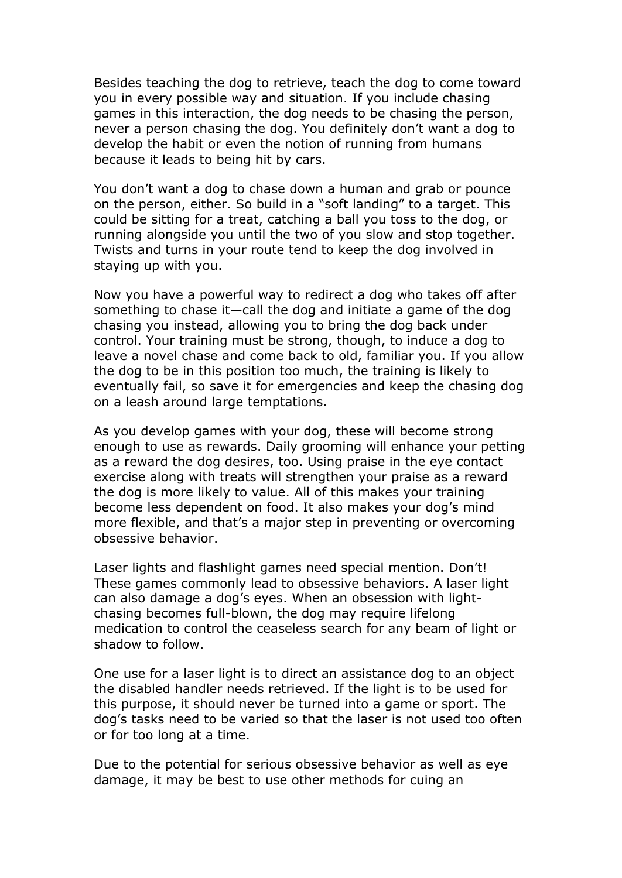Besides teaching the dog to retrieve, teach the dog to come toward you in every possible way and situation. If you include chasing games in this interaction, the dog needs to be chasing the person, never a person chasing the dog. You definitely don't want a dog to develop the habit or even the notion of running from humans because it leads to being hit by cars.

You don't want a dog to chase down a human and grab or pounce on the person, either. So build in a "soft landing" to a target. This could be sitting for a treat, catching a ball you toss to the dog, or running alongside you until the two of you slow and stop together. Twists and turns in your route tend to keep the dog involved in staying up with you.

Now you have a powerful way to redirect a dog who takes off after something to chase it—call the dog and initiate a game of the dog chasing you instead, allowing you to bring the dog back under control. Your training must be strong, though, to induce a dog to leave a novel chase and come back to old, familiar you. If you allow the dog to be in this position too much, the training is likely to eventually fail, so save it for emergencies and keep the chasing dog on a leash around large temptations.

As you develop games with your dog, these will become strong enough to use as rewards. Daily grooming will enhance your petting as a reward the dog desires, too. Using praise in the eye contact exercise along with treats will strengthen your praise as a reward the dog is more likely to value. All of this makes your training become less dependent on food. It also makes your dog's mind more flexible, and that's a major step in preventing or overcoming obsessive behavior.

Laser lights and flashlight games need special mention. Don't! These games commonly lead to obsessive behaviors. A laser light can also damage a dog's eyes. When an obsession with lightchasing becomes full-blown, the dog may require lifelong medication to control the ceaseless search for any beam of light or shadow to follow.

One use for a laser light is to direct an assistance dog to an object the disabled handler needs retrieved. If the light is to be used for this purpose, it should never be turned into a game or sport. The dog's tasks need to be varied so that the laser is not used too often or for too long at a time.

Due to the potential for serious obsessive behavior as well as eye damage, it may be best to use other methods for cuing an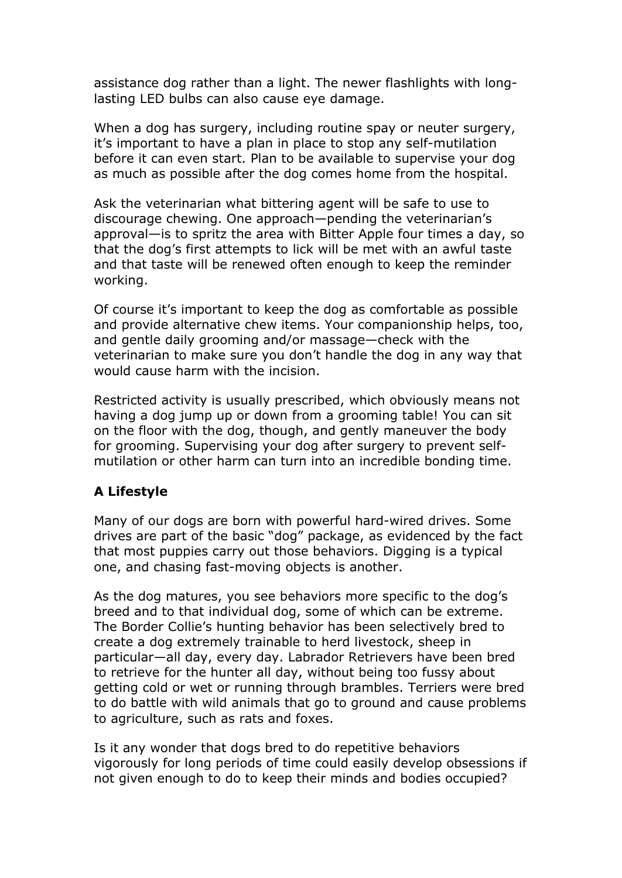assistance dog rather than a light. The newer flashlights with longlasting LED bulbs can also cause eye damage.

When a dog has surgery, including routine spay or neuter surgery, it's important to have a plan in place to stop any self-mutilation before it can even start. Plan to be available to supervise your dog as much as possible after the dog comes home from the hospital.

Ask the veterinarian what bittering agent will be safe to use to discourage chewing. One approach—pending the veterinarian's approval—is to spritz the area with Bitter Apple four times a day, so that the dog's first attempts to lick will be met with an awful taste and that taste will be renewed often enough to keep the reminder working.

Of course it's important to keep the dog as comfortable as possible and provide alternative chew items. Your companionship helps, too, and gentle daily grooming and/or massage—check with the veterinarian to make sure you don't handle the dog in any way that would cause harm with the incision.

Restricted activity is usually prescribed, which obviously means not having a dog jump up or down from a grooming table! You can sit on the floor with the dog, though, and gently maneuver the body for grooming. Supervising your dog after surgery to prevent selfmutilation or other harm can turn into an incredible bonding time.

# **A Lifestyle**

Many of our dogs are born with powerful hard-wired drives. Some drives are part of the basic "dog" package, as evidenced by the fact that most puppies carry out those behaviors. Digging is a typical one, and chasing fast-moving objects is another.

As the dog matures, you see behaviors more specific to the dog's breed and to that individual dog, some of which can be extreme. The Border Collie's hunting behavior has been selectively bred to create a dog extremely trainable to herd livestock, sheep in particular—all day, every day. Labrador Retrievers have been bred to retrieve for the hunter all day, without being too fussy about getting cold or wet or running through brambles. Terriers were bred to do battle with wild animals that go to ground and cause problems to agriculture, such as rats and foxes.

Is it any wonder that dogs bred to do repetitive behaviors vigorously for long periods of time could easily develop obsessions if not given enough to do to keep their minds and bodies occupied?